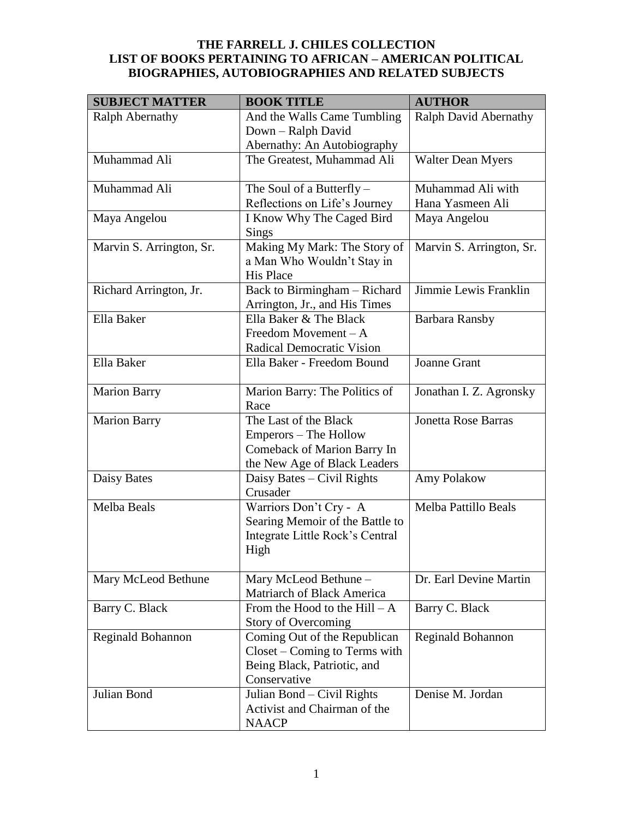| <b>SUBJECT MATTER</b>    | <b>BOOK TITLE</b>                                                                                             | <b>AUTHOR</b>              |
|--------------------------|---------------------------------------------------------------------------------------------------------------|----------------------------|
| Ralph Abernathy          | And the Walls Came Tumbling                                                                                   | Ralph David Abernathy      |
|                          | Down - Ralph David                                                                                            |                            |
|                          | Abernathy: An Autobiography                                                                                   |                            |
| Muhammad Ali             | The Greatest, Muhammad Ali                                                                                    | <b>Walter Dean Myers</b>   |
| Muhammad Ali             | The Soul of a Butterfly $-$                                                                                   | Muhammad Ali with          |
|                          | Reflections on Life's Journey                                                                                 | Hana Yasmeen Ali           |
| Maya Angelou             | I Know Why The Caged Bird<br>Sings                                                                            | Maya Angelou               |
| Marvin S. Arrington, Sr. | Making My Mark: The Story of<br>a Man Who Wouldn't Stay in<br><b>His Place</b>                                | Marvin S. Arrington, Sr.   |
| Richard Arrington, Jr.   | Back to Birmingham - Richard<br>Arrington, Jr., and His Times                                                 | Jimmie Lewis Franklin      |
| Ella Baker               | Ella Baker & The Black<br>Freedom Movement $-A$<br><b>Radical Democratic Vision</b>                           | <b>Barbara Ransby</b>      |
| Ella Baker               | Ella Baker - Freedom Bound                                                                                    | <b>Joanne Grant</b>        |
| <b>Marion Barry</b>      | Marion Barry: The Politics of<br>Race                                                                         | Jonathan I. Z. Agronsky    |
| <b>Marion Barry</b>      | The Last of the Black<br>Emperors – The Hollow<br>Comeback of Marion Barry In<br>the New Age of Black Leaders | <b>Jonetta Rose Barras</b> |
| Daisy Bates              | Daisy Bates - Civil Rights<br>Crusader                                                                        | Amy Polakow                |
| Melba Beals              | Warriors Don't Cry - A<br>Searing Memoir of the Battle to<br>Integrate Little Rock's Central<br>High          | Melba Pattillo Beals       |
| Mary McLeod Bethune      | Mary McLeod Bethune -<br><b>Matriarch of Black America</b>                                                    | Dr. Earl Devine Martin     |
| Barry C. Black           | From the Hood to the $Hill - A$<br><b>Story of Overcoming</b>                                                 | Barry C. Black             |
| <b>Reginald Bohannon</b> | Coming Out of the Republican<br>Closet - Coming to Terms with<br>Being Black, Patriotic, and<br>Conservative  | Reginald Bohannon          |
| Julian Bond              | Julian Bond - Civil Rights<br>Activist and Chairman of the<br><b>NAACP</b>                                    | Denise M. Jordan           |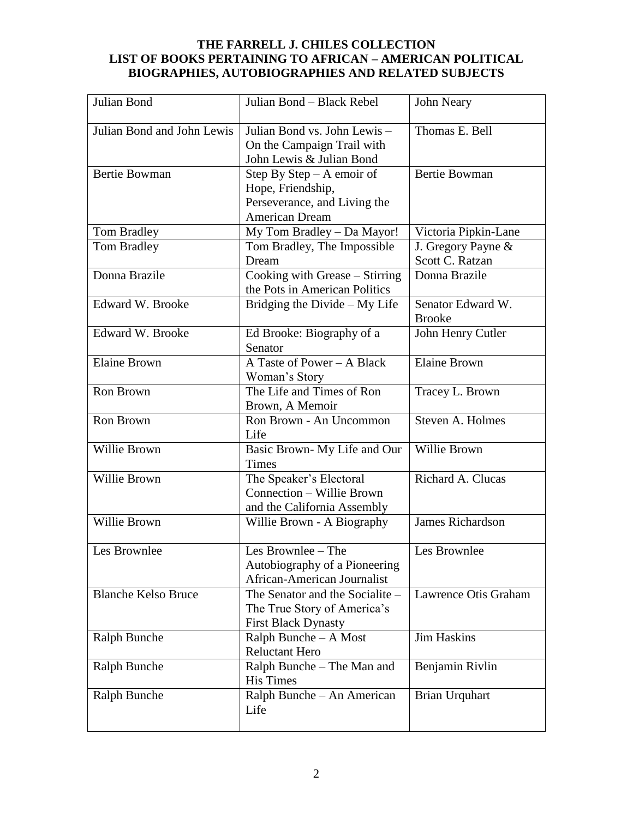| Julian Bond                | Julian Bond - Black Rebel                                                                          | John Neary                            |
|----------------------------|----------------------------------------------------------------------------------------------------|---------------------------------------|
| Julian Bond and John Lewis | Julian Bond vs. John Lewis-<br>On the Campaign Trail with<br>John Lewis & Julian Bond              | Thomas E. Bell                        |
| <b>Bertie Bowman</b>       | Step By Step $- A$ emoir of<br>Hope, Friendship,<br>Perseverance, and Living the<br>American Dream | <b>Bertie Bowman</b>                  |
| Tom Bradley                | My Tom Bradley - Da Mayor!                                                                         | Victoria Pipkin-Lane                  |
| Tom Bradley                | Tom Bradley, The Impossible<br>Dream                                                               | J. Gregory Payne &<br>Scott C. Ratzan |
| Donna Brazile              | Cooking with Grease - Stirring<br>the Pots in American Politics                                    | Donna Brazile                         |
| Edward W. Brooke           | Bridging the Divide $-My$ Life                                                                     | Senator Edward W.<br><b>Brooke</b>    |
| Edward W. Brooke           | Ed Brooke: Biography of a<br>Senator                                                               | John Henry Cutler                     |
| <b>Elaine Brown</b>        | A Taste of Power - A Black<br>Woman's Story                                                        | <b>Elaine Brown</b>                   |
| Ron Brown                  | The Life and Times of Ron<br>Brown, A Memoir                                                       | Tracey L. Brown                       |
| Ron Brown                  | Ron Brown - An Uncommon<br>Life                                                                    | Steven A. Holmes                      |
| Willie Brown               | Basic Brown-My Life and Our<br><b>Times</b>                                                        | Willie Brown                          |
| Willie Brown               | The Speaker's Electoral<br>Connection - Willie Brown<br>and the California Assembly                | Richard A. Clucas                     |
| Willie Brown               | Willie Brown - A Biography                                                                         | <b>James Richardson</b>               |
| Les Brownlee               | Les Brownlee - The<br>Autobiography of a Pioneering<br>African-American Journalist                 | Les Brownlee                          |
| <b>Blanche Kelso Bruce</b> | The Senator and the Socialite –<br>The True Story of America's<br><b>First Black Dynasty</b>       | Lawrence Otis Graham                  |
| <b>Ralph Bunche</b>        | Ralph Bunche - A Most<br><b>Reluctant Hero</b>                                                     | Jim Haskins                           |
| <b>Ralph Bunche</b>        | Ralph Bunche - The Man and<br><b>His Times</b>                                                     | Benjamin Rivlin                       |
| Ralph Bunche               | Ralph Bunche - An American<br>Life                                                                 | <b>Brian Urquhart</b>                 |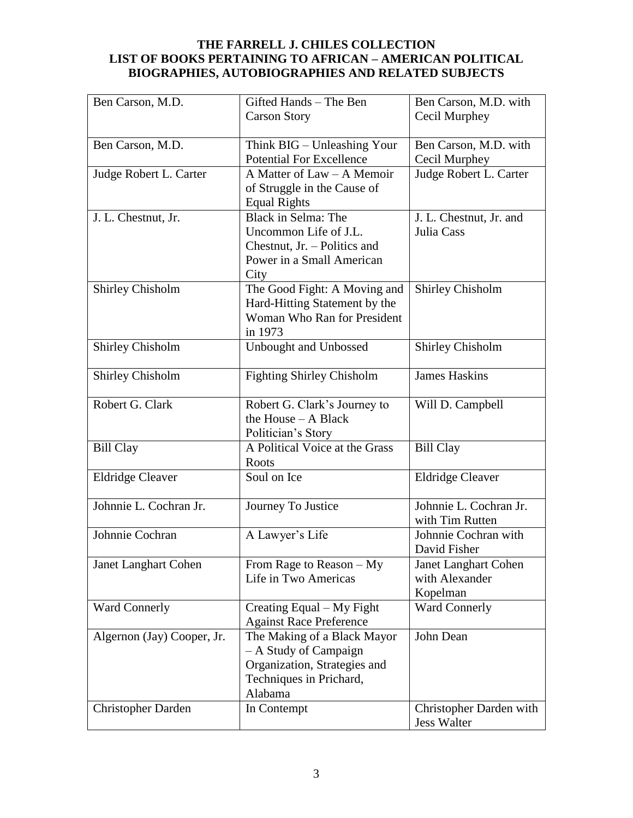| Ben Carson, M.D.           | Gifted Hands - The Ben           | Ben Carson, M.D. with       |
|----------------------------|----------------------------------|-----------------------------|
|                            | <b>Carson Story</b>              | Cecil Murphey               |
|                            |                                  |                             |
| Ben Carson, M.D.           | Think BIG - Unleashing Your      | Ben Carson, M.D. with       |
|                            | <b>Potential For Excellence</b>  | Cecil Murphey               |
| Judge Robert L. Carter     | A Matter of Law - A Memoir       | Judge Robert L. Carter      |
|                            | of Struggle in the Cause of      |                             |
|                            | <b>Equal Rights</b>              |                             |
| J. L. Chestnut, Jr.        | Black in Selma: The              | J. L. Chestnut, Jr. and     |
|                            | Uncommon Life of J.L.            | Julia Cass                  |
|                            | Chestnut, Jr. - Politics and     |                             |
|                            | Power in a Small American        |                             |
|                            | City                             |                             |
| Shirley Chisholm           | The Good Fight: A Moving and     | <b>Shirley Chisholm</b>     |
|                            | Hard-Hitting Statement by the    |                             |
|                            | Woman Who Ran for President      |                             |
|                            | in 1973                          |                             |
| <b>Shirley Chisholm</b>    | Unbought and Unbossed            | <b>Shirley Chisholm</b>     |
|                            |                                  |                             |
| <b>Shirley Chisholm</b>    | <b>Fighting Shirley Chisholm</b> | <b>James Haskins</b>        |
|                            |                                  |                             |
| Robert G. Clark            | Robert G. Clark's Journey to     | Will D. Campbell            |
|                            | the House - A Black              |                             |
|                            | Politician's Story               |                             |
| <b>Bill Clay</b>           | A Political Voice at the Grass   | <b>Bill Clay</b>            |
|                            | Roots                            |                             |
| <b>Eldridge Cleaver</b>    | Soul on Ice                      | <b>Eldridge Cleaver</b>     |
|                            |                                  |                             |
| Johnnie L. Cochran Jr.     | Journey To Justice               | Johnnie L. Cochran Jr.      |
|                            |                                  | with Tim Rutten             |
| Johnnie Cochran            | A Lawyer's Life                  | Johnnie Cochran with        |
|                            |                                  | David Fisher                |
| Janet Langhart Cohen       | From Rage to Reason $-My$        | <b>Janet Langhart Cohen</b> |
|                            | Life in Two Americas             | with Alexander              |
|                            |                                  | Kopelman                    |
| <b>Ward Connerly</b>       | Creating Equal – My Fight        | <b>Ward Connerly</b>        |
|                            | <b>Against Race Preference</b>   |                             |
| Algernon (Jay) Cooper, Jr. | The Making of a Black Mayor      | John Dean                   |
|                            | - A Study of Campaign            |                             |
|                            | Organization, Strategies and     |                             |
|                            | Techniques in Prichard,          |                             |
|                            | Alabama                          |                             |
| <b>Christopher Darden</b>  | In Contempt                      | Christopher Darden with     |
|                            |                                  | <b>Jess Walter</b>          |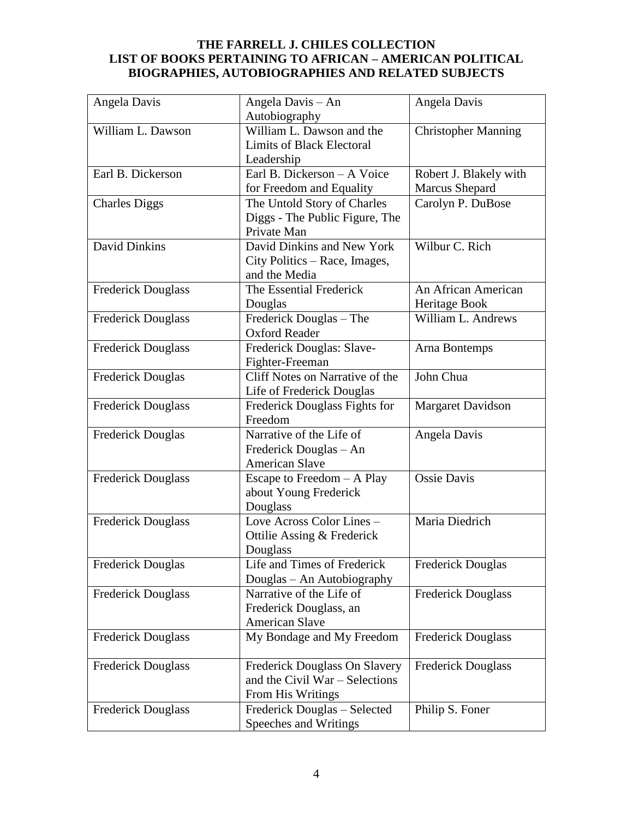| Angela Davis              | Angela Davis - An<br>Autobiography                                                   | Angela Davis                                    |
|---------------------------|--------------------------------------------------------------------------------------|-------------------------------------------------|
| William L. Dawson         | William L. Dawson and the<br><b>Limits of Black Electoral</b><br>Leadership          | <b>Christopher Manning</b>                      |
| Earl B. Dickerson         | Earl B. Dickerson - A Voice<br>for Freedom and Equality                              | Robert J. Blakely with<br><b>Marcus Shepard</b> |
| <b>Charles Diggs</b>      | The Untold Story of Charles<br>Diggs - The Public Figure, The<br>Private Man         | Carolyn P. DuBose                               |
| <b>David Dinkins</b>      | David Dinkins and New York<br>City Politics - Race, Images,<br>and the Media         | Wilbur C. Rich                                  |
| <b>Frederick Douglass</b> | The Essential Frederick<br>Douglas                                                   | An African American<br>Heritage Book            |
| <b>Frederick Douglass</b> | Frederick Douglas - The<br><b>Oxford Reader</b>                                      | William L. Andrews                              |
| <b>Frederick Douglass</b> | Frederick Douglas: Slave-<br>Fighter-Freeman                                         | Arna Bontemps                                   |
| <b>Frederick Douglas</b>  | Cliff Notes on Narrative of the<br>Life of Frederick Douglas                         | John Chua                                       |
| <b>Frederick Douglass</b> | Frederick Douglass Fights for<br>Freedom                                             | <b>Margaret Davidson</b>                        |
| <b>Frederick Douglas</b>  | Narrative of the Life of<br>Frederick Douglas - An<br><b>American Slave</b>          | Angela Davis                                    |
| <b>Frederick Douglass</b> | Escape to Freedom - A Play<br>about Young Frederick<br>Douglass                      | <b>Ossie Davis</b>                              |
| <b>Frederick Douglass</b> | Love Across Color Lines -<br>Ottilie Assing & Frederick<br>Douglass                  | Maria Diedrich                                  |
| <b>Frederick Douglas</b>  | Life and Times of Frederick<br>Douglas - An Autobiography                            | <b>Frederick Douglas</b>                        |
| <b>Frederick Douglass</b> | Narrative of the Life of<br>Frederick Douglass, an<br><b>American Slave</b>          | <b>Frederick Douglass</b>                       |
| <b>Frederick Douglass</b> | My Bondage and My Freedom                                                            | <b>Frederick Douglass</b>                       |
| <b>Frederick Douglass</b> | Frederick Douglass On Slavery<br>and the Civil War – Selections<br>From His Writings | <b>Frederick Douglass</b>                       |
| Frederick Douglass        | Frederick Douglas - Selected<br>Speeches and Writings                                | Philip S. Foner                                 |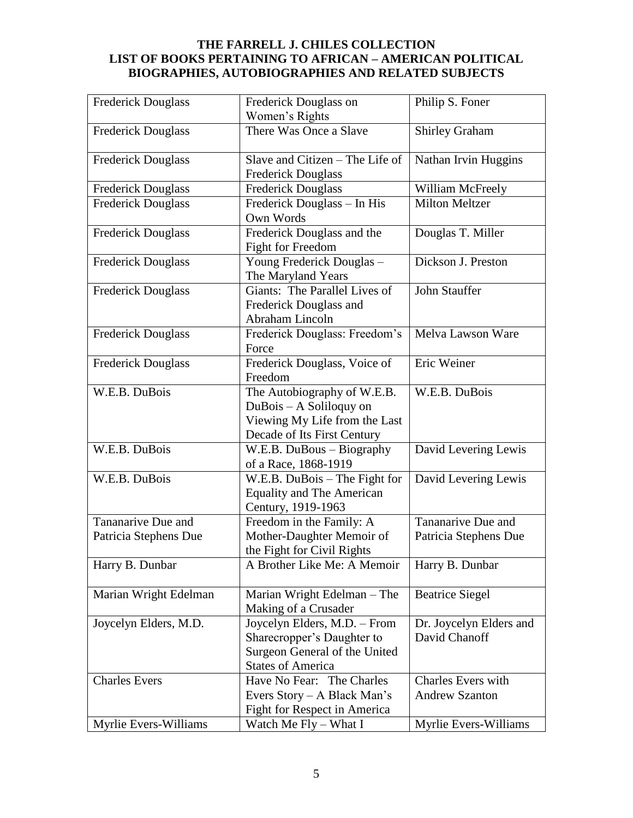| <b>Frederick Douglass</b> | Frederick Douglass on                                    | Philip S. Foner           |
|---------------------------|----------------------------------------------------------|---------------------------|
|                           | Women's Rights                                           |                           |
| <b>Frederick Douglass</b> | There Was Once a Slave                                   | <b>Shirley Graham</b>     |
|                           |                                                          |                           |
| <b>Frederick Douglass</b> | Slave and Citizen - The Life of                          | Nathan Irvin Huggins      |
|                           | <b>Frederick Douglass</b>                                |                           |
| <b>Frederick Douglass</b> | <b>Frederick Douglass</b>                                | William McFreely          |
| <b>Frederick Douglass</b> | Frederick Douglass - In His                              | <b>Milton Meltzer</b>     |
|                           | Own Words                                                |                           |
| Frederick Douglass        | Frederick Douglass and the                               | Douglas T. Miller         |
|                           | <b>Fight for Freedom</b>                                 |                           |
| <b>Frederick Douglass</b> | Young Frederick Douglas -                                | Dickson J. Preston        |
|                           | The Maryland Years                                       |                           |
| <b>Frederick Douglass</b> | Giants: The Parallel Lives of                            | <b>John Stauffer</b>      |
|                           | Frederick Douglass and                                   |                           |
|                           | Abraham Lincoln                                          |                           |
| <b>Frederick Douglass</b> | Frederick Douglass: Freedom's                            | Melva Lawson Ware         |
|                           | Force                                                    |                           |
| <b>Frederick Douglass</b> | Frederick Douglass, Voice of                             | Eric Weiner               |
|                           | Freedom                                                  |                           |
| W.E.B. DuBois             | The Autobiography of W.E.B.                              | W.E.B. DuBois             |
|                           | DuBois - A Soliloquy on                                  |                           |
|                           | Viewing My Life from the Last                            |                           |
| W.E.B. DuBois             | Decade of Its First Century<br>W.E.B. DuBous - Biography | David Levering Lewis      |
|                           | of a Race, 1868-1919                                     |                           |
| W.E.B. DuBois             | W.E.B. DuBois - The Fight for                            | David Levering Lewis      |
|                           | <b>Equality and The American</b>                         |                           |
|                           | Century, 1919-1963                                       |                           |
| Tananarive Due and        | Freedom in the Family: A                                 | Tananarive Due and        |
| Patricia Stephens Due     | Mother-Daughter Memoir of                                | Patricia Stephens Due     |
|                           | the Fight for Civil Rights                               |                           |
| Harry B. Dunbar           | A Brother Like Me: A Memoir                              | Harry B. Dunbar           |
|                           |                                                          |                           |
| Marian Wright Edelman     | Marian Wright Edelman - The                              | <b>Beatrice Siegel</b>    |
|                           | Making of a Crusader                                     |                           |
| Joycelyn Elders, M.D.     | Joycelyn Elders, M.D. - From                             | Dr. Joycelyn Elders and   |
|                           | Sharecropper's Daughter to                               | David Chanoff             |
|                           | Surgeon General of the United                            |                           |
|                           | <b>States of America</b>                                 |                           |
| <b>Charles Evers</b>      | Have No Fear: The Charles                                | <b>Charles Evers with</b> |
|                           | Evers Story – A Black Man's                              | <b>Andrew Szanton</b>     |
|                           | <b>Fight for Respect in America</b>                      |                           |
| Myrlie Evers-Williams     | Watch Me Fly - What I                                    | Myrlie Evers-Williams     |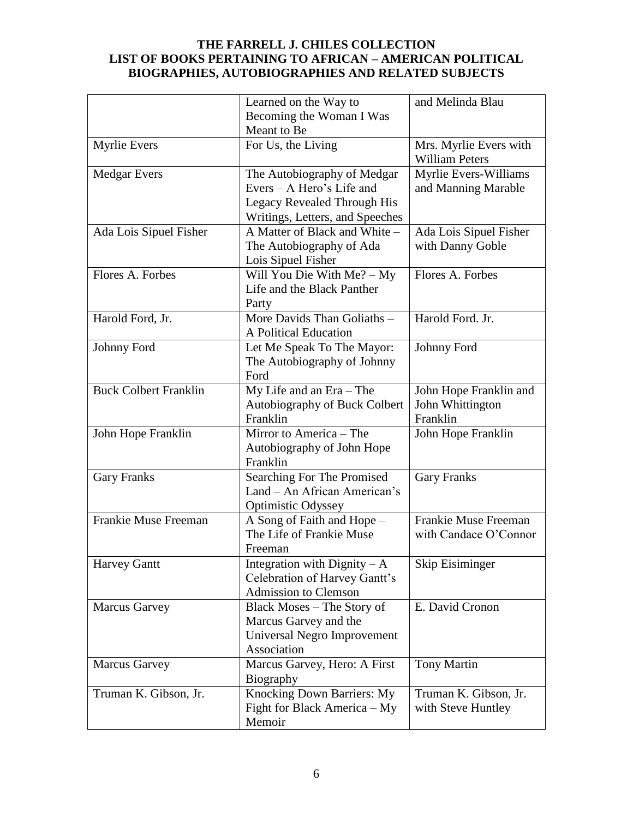|                              | Learned on the Way to                                                                                                      | and Melinda Blau                                       |
|------------------------------|----------------------------------------------------------------------------------------------------------------------------|--------------------------------------------------------|
|                              | Becoming the Woman I Was                                                                                                   |                                                        |
|                              | Meant to Be                                                                                                                |                                                        |
| <b>Myrlie Evers</b>          | For Us, the Living                                                                                                         | Mrs. Myrlie Evers with<br><b>William Peters</b>        |
| <b>Medgar Evers</b>          | The Autobiography of Medgar<br>Evers - A Hero's Life and<br>Legacy Revealed Through His<br>Writings, Letters, and Speeches | Myrlie Evers-Williams<br>and Manning Marable           |
| Ada Lois Sipuel Fisher       | A Matter of Black and White -<br>The Autobiography of Ada<br>Lois Sipuel Fisher                                            | Ada Lois Sipuel Fisher<br>with Danny Goble             |
| Flores A. Forbes             | Will You Die With Me? - My<br>Life and the Black Panther<br>Party                                                          | Flores A. Forbes                                       |
| Harold Ford, Jr.             | More Davids Than Goliaths -<br>A Political Education                                                                       | Harold Ford. Jr.                                       |
| Johnny Ford                  | Let Me Speak To The Mayor:<br>The Autobiography of Johnny<br>Ford                                                          | Johnny Ford                                            |
| <b>Buck Colbert Franklin</b> | My Life and an Era - The<br>Autobiography of Buck Colbert<br>Franklin                                                      | John Hope Franklin and<br>John Whittington<br>Franklin |
| John Hope Franklin           | Mirror to America - The<br>Autobiography of John Hope<br>Franklin                                                          | John Hope Franklin                                     |
| <b>Gary Franks</b>           | Searching For The Promised<br>Land - An African American's<br><b>Optimistic Odyssey</b>                                    | <b>Gary Franks</b>                                     |
| Frankie Muse Freeman         | A Song of Faith and Hope -<br>The Life of Frankie Muse<br>Freeman                                                          | Frankie Muse Freeman<br>with Candace O'Connor          |
| <b>Harvey Gantt</b>          | Integration with Dignity $-A$<br>Celebration of Harvey Gantt's<br><b>Admission to Clemson</b>                              | Skip Eisiminger                                        |
| <b>Marcus Garvey</b>         | Black Moses - The Story of<br>Marcus Garvey and the<br>Universal Negro Improvement<br>Association                          | E. David Cronon                                        |
| <b>Marcus Garvey</b>         | Marcus Garvey, Hero: A First<br>Biography                                                                                  | Tony Martin                                            |
| Truman K. Gibson, Jr.        | Knocking Down Barriers: My<br>Fight for Black America – My<br>Memoir                                                       | Truman K. Gibson, Jr.<br>with Steve Huntley            |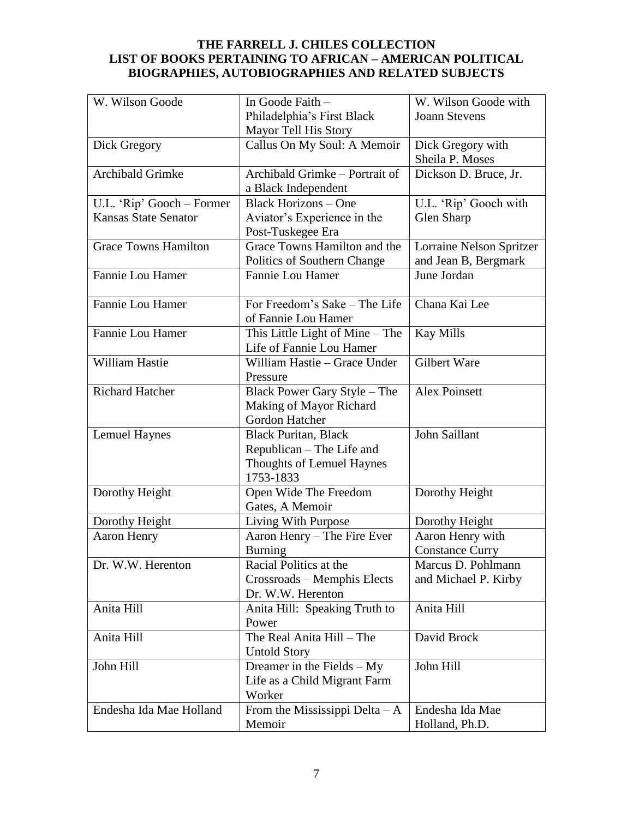| W. Wilson Goode             | In Goode Faith -                         | W. Wilson Goode with     |
|-----------------------------|------------------------------------------|--------------------------|
|                             | Philadelphia's First Black               | <b>Joann Stevens</b>     |
|                             | Mayor Tell His Story                     |                          |
| Dick Gregory                | Callus On My Soul: A Memoir              | Dick Gregory with        |
|                             |                                          | Sheila P. Moses          |
| Archibald Grimke            | Archibald Grimke - Portrait of           | Dickson D. Bruce, Jr.    |
|                             | a Black Independent                      |                          |
| U.L. 'Rip' Gooch - Former   | <b>Black Horizons – One</b>              | U.L. 'Rip' Gooch with    |
| <b>Kansas State Senator</b> | Aviator's Experience in the              | Glen Sharp               |
|                             | Post-Tuskegee Era                        |                          |
| <b>Grace Towns Hamilton</b> | Grace Towns Hamilton and the             | Lorraine Nelson Spritzer |
|                             | Politics of Southern Change              | and Jean B, Bergmark     |
| Fannie Lou Hamer            | Fannie Lou Hamer                         | June Jordan              |
|                             |                                          |                          |
| Fannie Lou Hamer            | For Freedom's Sake - The Life            | Chana Kai Lee            |
|                             | of Fannie Lou Hamer                      |                          |
| Fannie Lou Hamer            | This Little Light of Mine – The          | <b>Kay Mills</b>         |
|                             | Life of Fannie Lou Hamer                 |                          |
| William Hastie              | William Hastie - Grace Under             | Gilbert Ware             |
|                             | Pressure                                 |                          |
| <b>Richard Hatcher</b>      | Black Power Gary Style - The             | <b>Alex Poinsett</b>     |
|                             | Making of Mayor Richard                  |                          |
|                             | Gordon Hatcher                           |                          |
| <b>Lemuel Haynes</b>        | <b>Black Puritan, Black</b>              | John Saillant            |
|                             |                                          |                          |
|                             | Republican - The Life and                |                          |
|                             | Thoughts of Lemuel Haynes<br>1753-1833   |                          |
|                             |                                          |                          |
| Dorothy Height              | Open Wide The Freedom<br>Gates, A Memoir | Dorothy Height           |
|                             |                                          |                          |
| Dorothy Height              | Living With Purpose                      | Dorothy Height           |
| Aaron Henry                 | Aaron Henry - The Fire Ever              | Aaron Henry with         |
|                             | Burning                                  | <b>Constance Curry</b>   |
| Dr. W.W. Herenton           | Racial Politics at the                   | Marcus D. Pohlmann       |
|                             | Crossroads - Memphis Elects              | and Michael P. Kirby     |
|                             | Dr. W.W. Herenton                        |                          |
| Anita Hill                  | Anita Hill: Speaking Truth to            | Anita Hill               |
|                             | Power                                    |                          |
| Anita Hill                  | The Real Anita Hill - The                | David Brock              |
|                             | <b>Untold Story</b>                      |                          |
| John Hill                   | Dreamer in the Fields $-My$              | John Hill                |
|                             | Life as a Child Migrant Farm             |                          |
|                             | Worker                                   |                          |
| Endesha Ida Mae Holland     | From the Mississippi Delta $-A$          | Endesha Ida Mae          |
|                             | Memoir                                   | Holland, Ph.D.           |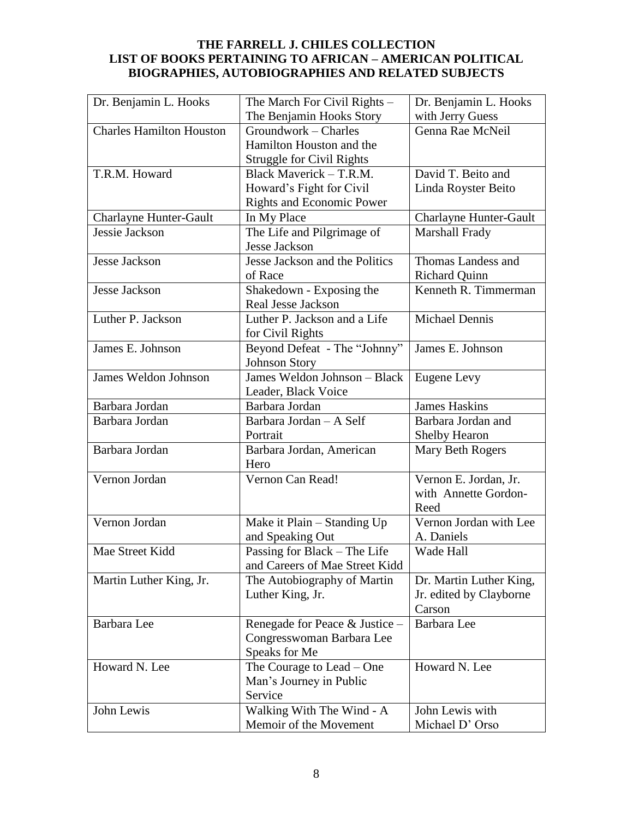| Dr. Benjamin L. Hooks           | The March For Civil Rights -     | Dr. Benjamin L. Hooks         |
|---------------------------------|----------------------------------|-------------------------------|
|                                 | The Benjamin Hooks Story         | with Jerry Guess              |
| <b>Charles Hamilton Houston</b> | Groundwork - Charles             | Genna Rae McNeil              |
|                                 | Hamilton Houston and the         |                               |
|                                 | <b>Struggle for Civil Rights</b> |                               |
| T.R.M. Howard                   | Black Maverick - T.R.M.          | David T. Beito and            |
|                                 | Howard's Fight for Civil         | Linda Royster Beito           |
|                                 | <b>Rights and Economic Power</b> |                               |
| <b>Charlayne Hunter-Gault</b>   | In My Place                      | <b>Charlayne Hunter-Gault</b> |
| Jessie Jackson                  | The Life and Pilgrimage of       | Marshall Frady                |
|                                 | Jesse Jackson                    |                               |
| Jesse Jackson                   | Jesse Jackson and the Politics   | Thomas Landess and            |
|                                 | of Race                          | <b>Richard Quinn</b>          |
| Jesse Jackson                   | Shakedown - Exposing the         | Kenneth R. Timmerman          |
|                                 | <b>Real Jesse Jackson</b>        |                               |
| Luther P. Jackson               | Luther P. Jackson and a Life     | <b>Michael Dennis</b>         |
|                                 | for Civil Rights                 |                               |
| James E. Johnson                | Beyond Defeat - The "Johnny"     | James E. Johnson              |
|                                 | <b>Johnson Story</b>             |                               |
| James Weldon Johnson            | James Weldon Johnson - Black     | Eugene Levy                   |
|                                 | Leader, Black Voice              |                               |
| Barbara Jordan                  | Barbara Jordan                   | <b>James Haskins</b>          |
| Barbara Jordan                  | Barbara Jordan - A Self          | Barbara Jordan and            |
|                                 | Portrait                         | <b>Shelby Hearon</b>          |
| Barbara Jordan                  | Barbara Jordan, American         | Mary Beth Rogers              |
|                                 | Hero                             |                               |
| Vernon Jordan                   | Vernon Can Read!                 | Vernon E. Jordan, Jr.         |
|                                 |                                  | with Annette Gordon-          |
|                                 |                                  | Reed                          |
| Vernon Jordan                   | Make it Plain - Standing Up      | Vernon Jordan with Lee        |
|                                 | and Speaking Out                 | A. Daniels                    |
| Mae Street Kidd                 | Passing for Black - The Life     | Wade Hall                     |
|                                 | and Careers of Mae Street Kidd   |                               |
| Martin Luther King, Jr.         | The Autobiography of Martin      | Dr. Martin Luther King,       |
|                                 | Luther King, Jr.                 | Jr. edited by Clayborne       |
|                                 |                                  | Carson                        |
| Barbara Lee                     | Renegade for Peace & Justice -   | Barbara Lee                   |
|                                 | Congresswoman Barbara Lee        |                               |
|                                 | Speaks for Me                    |                               |
| Howard N. Lee                   | The Courage to Lead – One        | Howard N. Lee                 |
|                                 | Man's Journey in Public          |                               |
|                                 | Service                          |                               |
| John Lewis                      | Walking With The Wind - A        | John Lewis with               |
|                                 | Memoir of the Movement           | Michael D' Orso               |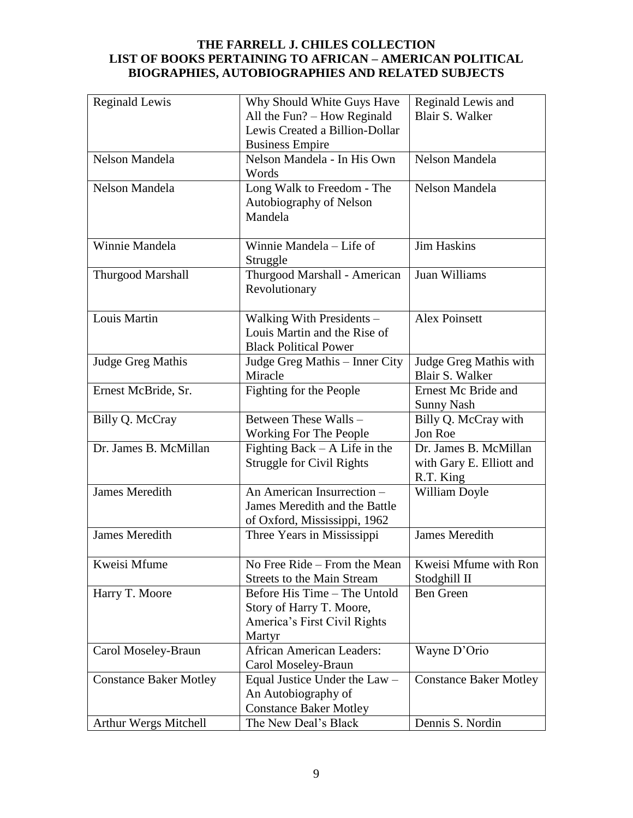| <b>Reginald Lewis</b>         | Why Should White Guys Have        | Reginald Lewis and            |
|-------------------------------|-----------------------------------|-------------------------------|
|                               | All the Fun? - How Reginald       | <b>Blair S. Walker</b>        |
|                               | Lewis Created a Billion-Dollar    |                               |
|                               | <b>Business Empire</b>            |                               |
| Nelson Mandela                | Nelson Mandela - In His Own       | Nelson Mandela                |
|                               | Words                             |                               |
| Nelson Mandela                | Long Walk to Freedom - The        | Nelson Mandela                |
|                               | Autobiography of Nelson           |                               |
|                               | Mandela                           |                               |
|                               |                                   |                               |
| Winnie Mandela                | Winnie Mandela - Life of          | <b>Jim Haskins</b>            |
|                               |                                   |                               |
|                               | Struggle                          |                               |
| <b>Thurgood Marshall</b>      | Thurgood Marshall - American      | Juan Williams                 |
|                               | Revolutionary                     |                               |
|                               |                                   |                               |
| Louis Martin                  | Walking With Presidents -         | <b>Alex Poinsett</b>          |
|                               | Louis Martin and the Rise of      |                               |
|                               | <b>Black Political Power</b>      |                               |
| Judge Greg Mathis             | Judge Greg Mathis - Inner City    | Judge Greg Mathis with        |
|                               | Miracle                           | Blair S. Walker               |
| Ernest McBride, Sr.           | Fighting for the People           | Ernest Mc Bride and           |
|                               |                                   | <b>Sunny Nash</b>             |
| Billy Q. McCray               | Between These Walls -             | Billy Q. McCray with          |
|                               | Working For The People            | Jon Roe                       |
| Dr. James B. McMillan         | Fighting Back $-$ A Life in the   | Dr. James B. McMillan         |
|                               | <b>Struggle for Civil Rights</b>  | with Gary E. Elliott and      |
|                               |                                   | R.T. King                     |
| <b>James Meredith</b>         | An American Insurrection -        | William Doyle                 |
|                               | James Meredith and the Battle     |                               |
|                               | of Oxford, Mississippi, 1962      |                               |
| <b>James Meredith</b>         | Three Years in Mississippi        | <b>James Meredith</b>         |
|                               |                                   |                               |
| Kweisi Mfume                  | No Free Ride – From the Mean      | Kweisi Mfume with Ron         |
|                               | <b>Streets to the Main Stream</b> | Stodghill II                  |
| Harry T. Moore                | Before His Time - The Untold      | <b>Ben Green</b>              |
|                               | Story of Harry T. Moore,          |                               |
|                               | America's First Civil Rights      |                               |
|                               | Martyr                            |                               |
| Carol Moseley-Braun           | <b>African American Leaders:</b>  | Wayne D'Orio                  |
|                               | Carol Moseley-Braun               |                               |
| <b>Constance Baker Motley</b> | Equal Justice Under the Law -     | <b>Constance Baker Motley</b> |
|                               | An Autobiography of               |                               |
|                               |                                   |                               |
|                               | <b>Constance Baker Motley</b>     |                               |
| Arthur Wergs Mitchell         | The New Deal's Black              | Dennis S. Nordin              |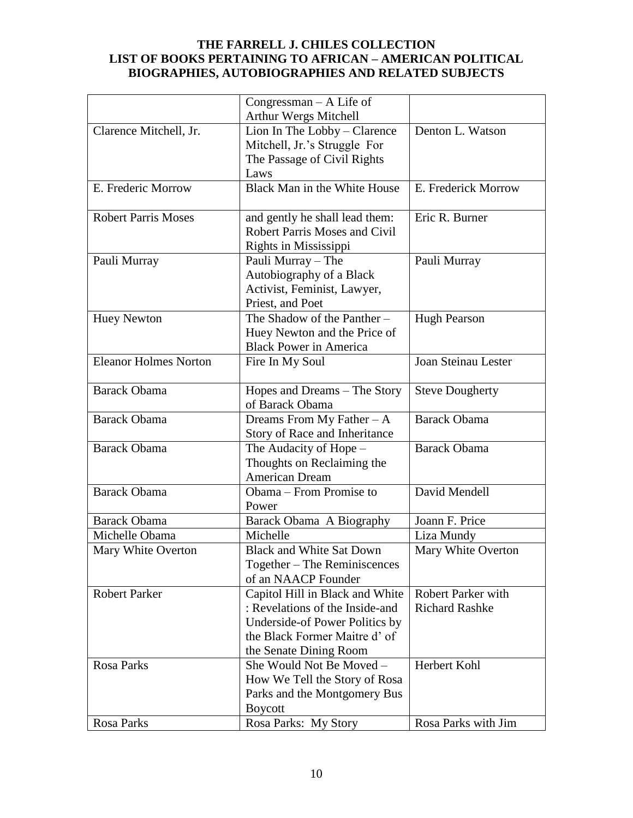|                              | Congressman $-$ A Life of            |                           |
|------------------------------|--------------------------------------|---------------------------|
|                              | Arthur Wergs Mitchell                |                           |
| Clarence Mitchell, Jr.       | Lion In The Lobby - Clarence         | Denton L. Watson          |
|                              | Mitchell, Jr.'s Struggle For         |                           |
|                              | The Passage of Civil Rights          |                           |
|                              | Laws                                 |                           |
| E. Frederic Morrow           | Black Man in the White House         | E. Frederick Morrow       |
| <b>Robert Parris Moses</b>   | and gently he shall lead them:       | Eric R. Burner            |
|                              | <b>Robert Parris Moses and Civil</b> |                           |
|                              | Rights in Mississippi                |                           |
| Pauli Murray                 | Pauli Murray - The                   | Pauli Murray              |
|                              | Autobiography of a Black             |                           |
|                              | Activist, Feminist, Lawyer,          |                           |
|                              | Priest, and Poet                     |                           |
| <b>Huey Newton</b>           | The Shadow of the Panther-           | <b>Hugh Pearson</b>       |
|                              | Huey Newton and the Price of         |                           |
|                              | <b>Black Power in America</b>        |                           |
| <b>Eleanor Holmes Norton</b> | Fire In My Soul                      | Joan Steinau Lester       |
|                              |                                      |                           |
| <b>Barack Obama</b>          | Hopes and Dreams - The Story         | <b>Steve Dougherty</b>    |
|                              | of Barack Obama                      |                           |
| <b>Barack Obama</b>          | Dreams From My Father $-A$           | <b>Barack Obama</b>       |
|                              | Story of Race and Inheritance        |                           |
| <b>Barack Obama</b>          | The Audacity of Hope -               | <b>Barack Obama</b>       |
|                              | Thoughts on Reclaiming the           |                           |
|                              | <b>American Dream</b>                |                           |
| <b>Barack Obama</b>          | Obama – From Promise to              | David Mendell             |
|                              | Power                                |                           |
| <b>Barack Obama</b>          | Barack Obama A Biography             | Joann F. Price            |
| Michelle Obama               | Michelle                             | Liza Mundy                |
| Mary White Overton           | <b>Black and White Sat Down</b>      | Mary White Overton        |
|                              | Together – The Reminiscences         |                           |
|                              | of an NAACP Founder                  |                           |
| <b>Robert Parker</b>         | Capitol Hill in Black and White      | <b>Robert Parker with</b> |
|                              | : Revelations of the Inside-and      | <b>Richard Rashke</b>     |
|                              | Underside-of Power Politics by       |                           |
|                              | the Black Former Maitre d' of        |                           |
|                              | the Senate Dining Room               |                           |
| Rosa Parks                   | She Would Not Be Moved -             | Herbert Kohl              |
|                              | How We Tell the Story of Rosa        |                           |
|                              |                                      |                           |
|                              | Parks and the Montgomery Bus         |                           |
|                              | <b>Boycott</b>                       |                           |
| Rosa Parks                   | Rosa Parks: My Story                 | Rosa Parks with Jim       |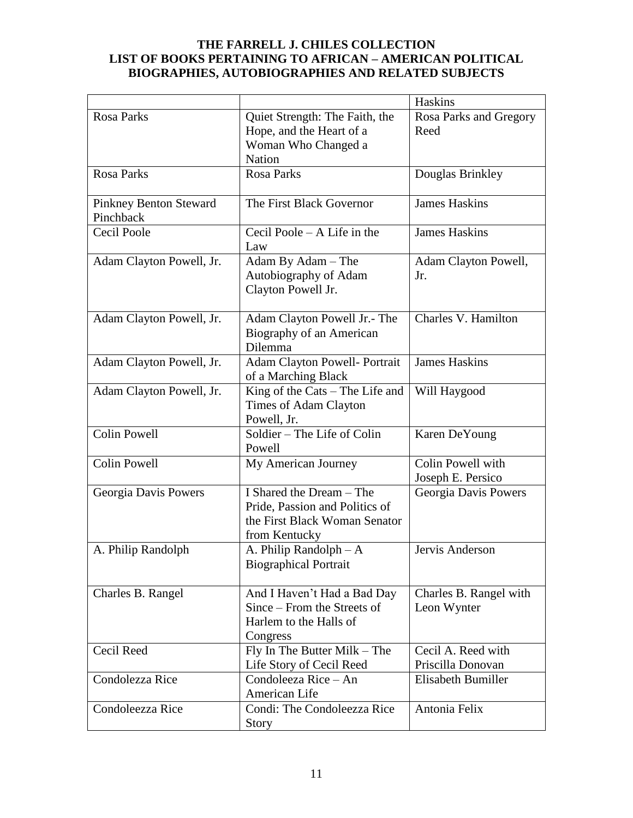|                                            |                                                                                                              | Haskins                                 |
|--------------------------------------------|--------------------------------------------------------------------------------------------------------------|-----------------------------------------|
| Rosa Parks                                 | Quiet Strength: The Faith, the<br>Hope, and the Heart of a<br>Woman Who Changed a                            | Rosa Parks and Gregory<br>Reed          |
| <b>Rosa Parks</b>                          | <b>Nation</b><br><b>Rosa Parks</b>                                                                           | Douglas Brinkley                        |
| <b>Pinkney Benton Steward</b><br>Pinchback | The First Black Governor                                                                                     | <b>James Haskins</b>                    |
| <b>Cecil Poole</b>                         | Cecil Poole $-$ A Life in the<br>Law                                                                         | <b>James Haskins</b>                    |
| Adam Clayton Powell, Jr.                   | Adam By Adam – The<br>Autobiography of Adam<br>Clayton Powell Jr.                                            | Adam Clayton Powell,<br>Jr.             |
| Adam Clayton Powell, Jr.                   | Adam Clayton Powell Jr.- The<br>Biography of an American<br>Dilemma                                          | Charles V. Hamilton                     |
| Adam Clayton Powell, Jr.                   | <b>Adam Clayton Powell- Portrait</b><br>of a Marching Black                                                  | <b>James Haskins</b>                    |
| Adam Clayton Powell, Jr.                   | King of the Cats – The Life and<br>Times of Adam Clayton<br>Powell, Jr.                                      | Will Haygood                            |
| <b>Colin Powell</b>                        | Soldier - The Life of Colin<br>Powell                                                                        | Karen DeYoung                           |
| <b>Colin Powell</b>                        | My American Journey                                                                                          | Colin Powell with<br>Joseph E. Persico  |
| Georgia Davis Powers                       | I Shared the Dream - The<br>Pride, Passion and Politics of<br>the First Black Woman Senator<br>from Kentucky | Georgia Davis Powers                    |
| A. Philip Randolph                         | A. Philip Randolph $- A$<br><b>Biographical Portrait</b>                                                     | Jervis Anderson                         |
| Charles B. Rangel                          | And I Haven't Had a Bad Day<br>Since – From the Streets of<br>Harlem to the Halls of<br>Congress             | Charles B. Rangel with<br>Leon Wynter   |
| Cecil Reed                                 | $Fly$ In The Butter Milk – The<br>Life Story of Cecil Reed                                                   | Cecil A. Reed with<br>Priscilla Donovan |
| Condolezza Rice                            | Condoleeza Rice - An<br>American Life                                                                        | Elisabeth Bumiller                      |
| Condoleezza Rice                           | Condi: The Condoleezza Rice<br>Story                                                                         | Antonia Felix                           |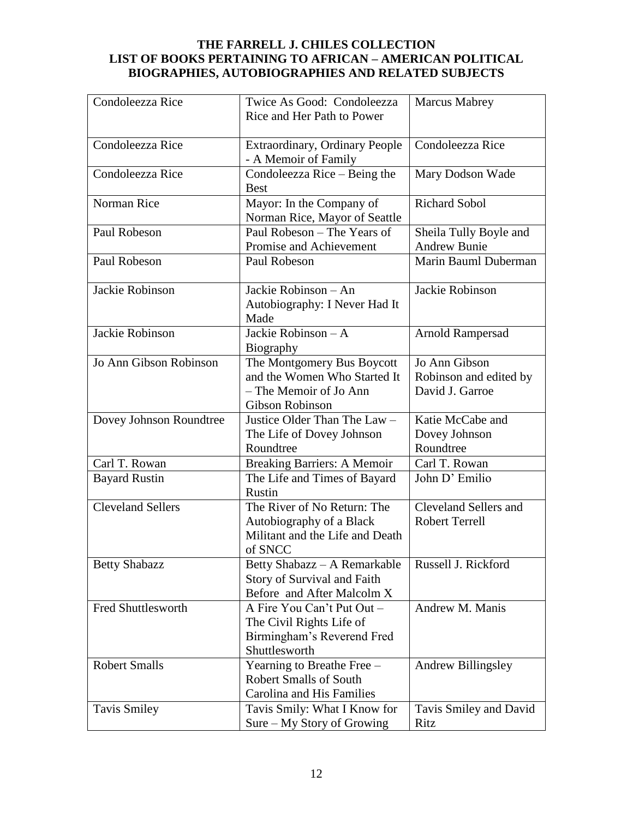| Condoleezza Rice         | Twice As Good: Condoleezza            | <b>Marcus Mabrey</b>         |
|--------------------------|---------------------------------------|------------------------------|
|                          | Rice and Her Path to Power            |                              |
|                          |                                       |                              |
| Condoleezza Rice         | <b>Extraordinary, Ordinary People</b> | Condoleezza Rice             |
|                          | - A Memoir of Family                  |                              |
| Condoleezza Rice         | Condoleezza Rice – Being the          | Mary Dodson Wade             |
|                          | <b>Best</b>                           |                              |
| Norman Rice              | Mayor: In the Company of              | <b>Richard Sobol</b>         |
|                          | Norman Rice, Mayor of Seattle         |                              |
| Paul Robeson             | Paul Robeson – The Years of           | Sheila Tully Boyle and       |
|                          | Promise and Achievement               | <b>Andrew Bunie</b>          |
| Paul Robeson             | Paul Robeson                          | Marin Bauml Duberman         |
|                          |                                       |                              |
| Jackie Robinson          | Jackie Robinson - An                  | Jackie Robinson              |
|                          | Autobiography: I Never Had It         |                              |
|                          | Made                                  |                              |
| Jackie Robinson          | Jackie Robinson - A                   | <b>Arnold Rampersad</b>      |
|                          | Biography                             |                              |
| Jo Ann Gibson Robinson   | The Montgomery Bus Boycott            | Jo Ann Gibson                |
|                          | and the Women Who Started It          | Robinson and edited by       |
|                          | - The Memoir of Jo Ann                | David J. Garroe              |
|                          | Gibson Robinson                       |                              |
| Dovey Johnson Roundtree  | Justice Older Than The Law -          | Katie McCabe and             |
|                          | The Life of Dovey Johnson             | Dovey Johnson                |
|                          | Roundtree                             | Roundtree                    |
| Carl T. Rowan            | <b>Breaking Barriers: A Memoir</b>    | Carl T. Rowan                |
| <b>Bayard Rustin</b>     | The Life and Times of Bayard          | John D' Emilio               |
|                          | Rustin                                |                              |
| <b>Cleveland Sellers</b> | The River of No Return: The           | <b>Cleveland Sellers and</b> |
|                          | Autobiography of a Black              | <b>Robert Terrell</b>        |
|                          | Militant and the Life and Death       |                              |
|                          | of SNCC                               |                              |
| <b>Betty Shabazz</b>     | Betty Shabazz - A Remarkable          | Russell J. Rickford          |
|                          | Story of Survival and Faith           |                              |
|                          | Before and After Malcolm X            |                              |
| Fred Shuttlesworth       | A Fire You Can't Put Out -            | Andrew M. Manis              |
|                          | The Civil Rights Life of              |                              |
|                          | Birmingham's Reverend Fred            |                              |
|                          | Shuttlesworth                         |                              |
| <b>Robert Smalls</b>     | Yearning to Breathe Free -            | <b>Andrew Billingsley</b>    |
|                          | <b>Robert Smalls of South</b>         |                              |
|                          | <b>Carolina and His Families</b>      |                              |
| <b>Tavis Smiley</b>      | Tavis Smily: What I Know for          | Tavis Smiley and David       |
|                          | Sure – My Story of Growing            | Ritz                         |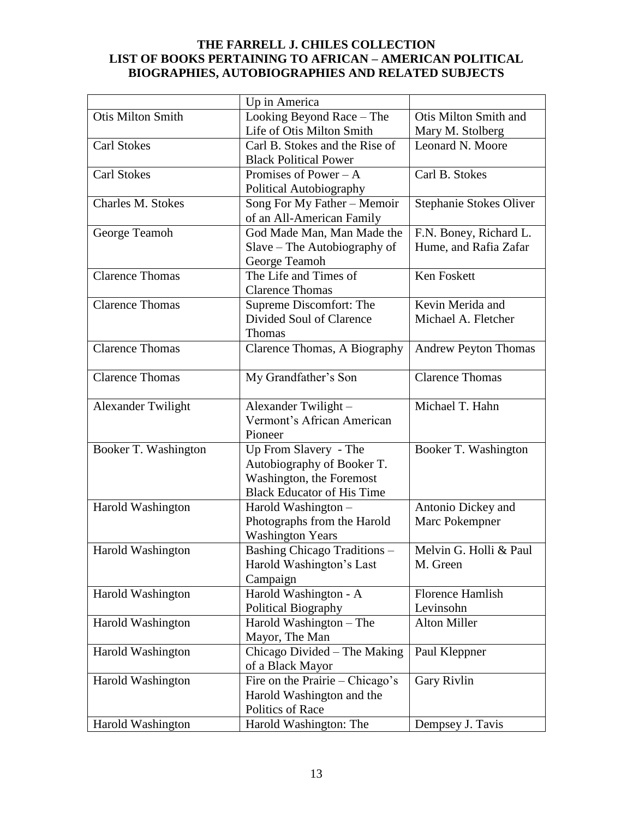|                           | Up in America                     |                             |
|---------------------------|-----------------------------------|-----------------------------|
| <b>Otis Milton Smith</b>  | Looking Beyond Race - The         | Otis Milton Smith and       |
|                           | Life of Otis Milton Smith         | Mary M. Stolberg            |
| <b>Carl Stokes</b>        | Carl B. Stokes and the Rise of    | Leonard N. Moore            |
|                           | <b>Black Political Power</b>      |                             |
| <b>Carl Stokes</b>        | Promises of Power $-A$            | Carl B. Stokes              |
|                           | Political Autobiography           |                             |
| Charles M. Stokes         | Song For My Father - Memoir       | Stephanie Stokes Oliver     |
|                           | of an All-American Family         |                             |
| George Teamoh             | God Made Man, Man Made the        | F.N. Boney, Richard L.      |
|                           | Slave – The Autobiography of      | Hume, and Rafia Zafar       |
|                           | George Teamoh                     |                             |
| <b>Clarence Thomas</b>    | The Life and Times of             | Ken Foskett                 |
|                           | <b>Clarence Thomas</b>            |                             |
| <b>Clarence Thomas</b>    | Supreme Discomfort: The           | Kevin Merida and            |
|                           | Divided Soul of Clarence          | Michael A. Fletcher         |
|                           | <b>Thomas</b>                     |                             |
| <b>Clarence Thomas</b>    | Clarence Thomas, A Biography      | <b>Andrew Peyton Thomas</b> |
|                           |                                   |                             |
| <b>Clarence Thomas</b>    | My Grandfather's Son              | <b>Clarence Thomas</b>      |
|                           |                                   |                             |
| <b>Alexander Twilight</b> | Alexander Twilight -              | Michael T. Hahn             |
|                           | Vermont's African American        |                             |
|                           | Pioneer                           |                             |
| Booker T. Washington      | Up From Slavery - The             | Booker T. Washington        |
|                           | Autobiography of Booker T.        |                             |
|                           | Washington, the Foremost          |                             |
|                           | <b>Black Educator of His Time</b> |                             |
| Harold Washington         | Harold Washington -               | Antonio Dickey and          |
|                           | Photographs from the Harold       | Marc Pokempner              |
|                           | <b>Washington Years</b>           |                             |
| <b>Harold Washington</b>  | Bashing Chicago Traditions -      | Melvin G. Holli & Paul      |
|                           | Harold Washington's Last          | M. Green                    |
|                           | Campaign                          |                             |
| Harold Washington         | Harold Washington - A             | Florence Hamlish            |
|                           | Political Biography               | Levinsohn                   |
| Harold Washington         | Harold Washington - The           | <b>Alton Miller</b>         |
|                           | Mayor, The Man                    |                             |
| Harold Washington         | Chicago Divided - The Making      | Paul Kleppner               |
|                           | of a Black Mayor                  |                             |
| Harold Washington         | Fire on the Prairie – Chicago's   | Gary Rivlin                 |
|                           | Harold Washington and the         |                             |
|                           | Politics of Race                  |                             |
| Harold Washington         | Harold Washington: The            | Dempsey J. Tavis            |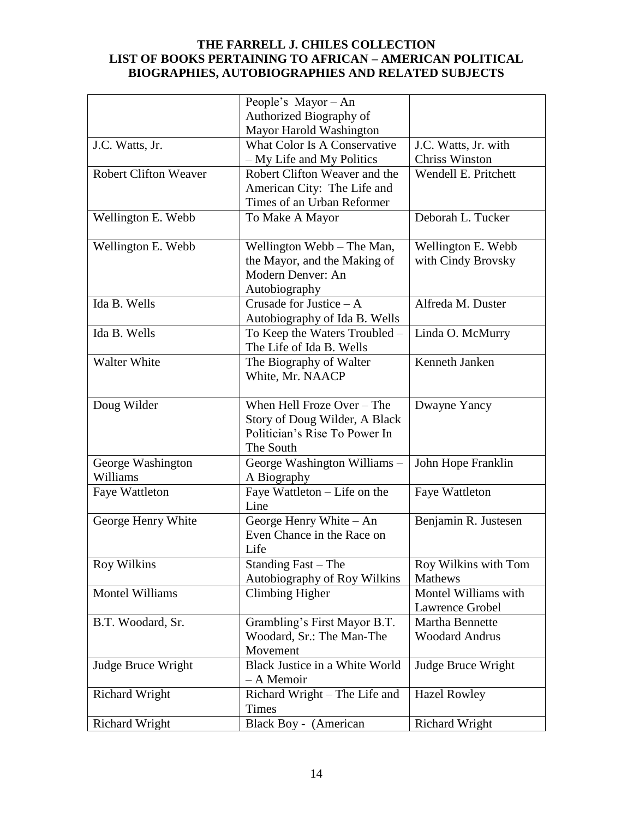|                                                | People's Mayor - An                                             |                                              |
|------------------------------------------------|-----------------------------------------------------------------|----------------------------------------------|
|                                                | Authorized Biography of                                         |                                              |
|                                                | Mayor Harold Washington                                         |                                              |
|                                                | What Color Is A Conservative                                    | J.C. Watts, Jr. with                         |
| J.C. Watts, Jr.                                |                                                                 |                                              |
|                                                | - My Life and My Politics                                       | <b>Chriss Winston</b>                        |
| <b>Robert Clifton Weaver</b>                   | Robert Clifton Weaver and the                                   | Wendell E. Pritchett                         |
|                                                | American City: The Life and                                     |                                              |
|                                                | Times of an Urban Reformer                                      |                                              |
| Wellington E. Webb                             | To Make A Mayor                                                 | Deborah L. Tucker                            |
|                                                |                                                                 |                                              |
| Wellington E. Webb                             | Wellington Webb – The Man,                                      | Wellington E. Webb                           |
|                                                | the Mayor, and the Making of                                    | with Cindy Brovsky                           |
|                                                | Modern Denver: An                                               |                                              |
|                                                | Autobiography                                                   |                                              |
| Ida B. Wells                                   | Crusade for Justice $- A$                                       | Alfreda M. Duster                            |
|                                                | Autobiography of Ida B. Wells                                   |                                              |
| Ida B. Wells                                   | To Keep the Waters Troubled -                                   | Linda O. McMurry                             |
|                                                | The Life of Ida B. Wells                                        |                                              |
| Walter White                                   | The Biography of Walter                                         | Kenneth Janken                               |
|                                                | White, Mr. NAACP                                                |                                              |
|                                                |                                                                 |                                              |
| Doug Wilder                                    | When Hell Froze Over - The                                      | Dwayne Yancy                                 |
|                                                | Story of Doug Wilder, A Black                                   |                                              |
|                                                | Politician's Rise To Power In                                   |                                              |
|                                                | The South                                                       |                                              |
|                                                | George Washington Williams -                                    |                                              |
| George Washington                              |                                                                 | John Hope Franklin                           |
| Williams                                       | A Biography                                                     |                                              |
| Faye Wattleton                                 | Faye Wattleton - Life on the                                    | <b>Faye Wattleton</b>                        |
|                                                | Line                                                            |                                              |
| George Henry White                             | George Henry White - An                                         | Benjamin R. Justesen                         |
|                                                | Even Chance in the Race on                                      |                                              |
|                                                | Life                                                            |                                              |
| <b>Roy Wilkins</b>                             | Standing Fast – The                                             | Roy Wilkins with Tom                         |
|                                                | Autobiography of Roy Wilkins                                    | <b>Mathews</b>                               |
| <b>Montel Williams</b>                         | <b>Climbing Higher</b>                                          | Montel Williams with                         |
|                                                |                                                                 | Lawrence Grobel                              |
| B.T. Woodard, Sr.                              | Grambling's First Mayor B.T.                                    | Martha Bennette                              |
|                                                | Woodard, Sr.: The Man-The                                       | <b>Woodard Andrus</b>                        |
|                                                | Movement                                                        |                                              |
| Judge Bruce Wright                             | Black Justice in a White World                                  | Judge Bruce Wright                           |
|                                                | - A Memoir                                                      |                                              |
|                                                |                                                                 |                                              |
|                                                |                                                                 |                                              |
|                                                |                                                                 |                                              |
| <b>Richard Wright</b><br><b>Richard Wright</b> | Richard Wright - The Life and<br>Times<br>Black Boy - (American | <b>Hazel Rowley</b><br><b>Richard Wright</b> |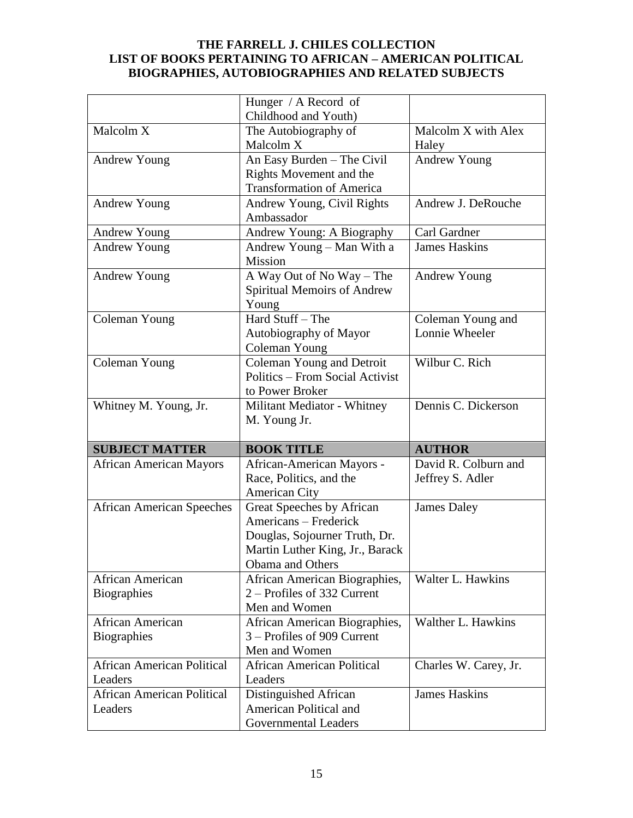|                                   | Hunger / A Record of                           |                       |
|-----------------------------------|------------------------------------------------|-----------------------|
|                                   | Childhood and Youth)                           |                       |
| Malcolm X                         | The Autobiography of                           | Malcolm X with Alex   |
|                                   | Malcolm X                                      | Haley                 |
| <b>Andrew Young</b>               | An Easy Burden - The Civil                     | <b>Andrew Young</b>   |
|                                   | Rights Movement and the                        |                       |
|                                   | <b>Transformation of America</b>               |                       |
| <b>Andrew Young</b>               | Andrew Young, Civil Rights                     | Andrew J. DeRouche    |
|                                   | Ambassador                                     |                       |
| Andrew Young                      | Andrew Young: A Biography                      | Carl Gardner          |
| <b>Andrew Young</b>               | Andrew Young - Man With a                      | <b>James Haskins</b>  |
|                                   | Mission                                        |                       |
| <b>Andrew Young</b>               | A Way Out of No Way - The                      | <b>Andrew Young</b>   |
|                                   | <b>Spiritual Memoirs of Andrew</b>             |                       |
|                                   | Young                                          |                       |
| Coleman Young                     | Hard Stuff - The                               | Coleman Young and     |
|                                   | Autobiography of Mayor                         | Lonnie Wheeler        |
|                                   | Coleman Young                                  |                       |
| Coleman Young                     | Coleman Young and Detroit                      | Wilbur C. Rich        |
|                                   | Politics – From Social Activist                |                       |
|                                   | to Power Broker                                |                       |
| Whitney M. Young, Jr.             | Militant Mediator - Whitney                    | Dennis C. Dickerson   |
|                                   |                                                |                       |
|                                   | M. Young Jr.                                   |                       |
|                                   |                                                |                       |
| <b>SUBJECT MATTER</b>             | <b>BOOK TITLE</b>                              | <b>AUTHOR</b>         |
| <b>African American Mayors</b>    | African-American Mayors -                      | David R. Colburn and  |
|                                   | Race, Politics, and the                        | Jeffrey S. Adler      |
|                                   | American City                                  |                       |
| <b>African American Speeches</b>  | Great Speeches by African                      | <b>James Daley</b>    |
|                                   | Americans – Frederick                          |                       |
|                                   | Douglas, Sojourner Truth, Dr.                  |                       |
|                                   | Martin Luther King, Jr., Barack                |                       |
|                                   | Obama and Others                               |                       |
| African American                  | African American Biographies,                  | Walter L. Hawkins     |
| <b>Biographies</b>                | 2 – Profiles of 332 Current                    |                       |
|                                   | Men and Women                                  |                       |
| African American                  | African American Biographies,                  | Walther L. Hawkins    |
| <b>Biographies</b>                | 3 – Profiles of 909 Current                    |                       |
|                                   | Men and Women                                  |                       |
| <b>African American Political</b> | <b>African American Political</b>              | Charles W. Carey, Jr. |
| Leaders                           | Leaders                                        |                       |
| <b>African American Political</b> | Distinguished African                          | <b>James Haskins</b>  |
| Leaders                           | American Political and<br>Governmental Leaders |                       |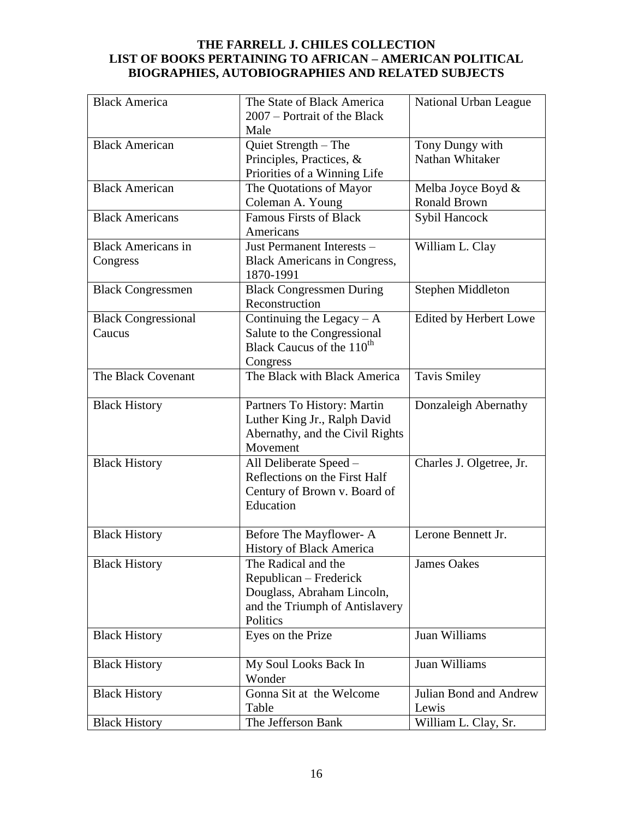| <b>Black America</b>       | The State of Black America                       | National Urban League    |
|----------------------------|--------------------------------------------------|--------------------------|
|                            | 2007 – Portrait of the Black                     |                          |
|                            | Male                                             |                          |
| <b>Black American</b>      | Quiet Strength - The                             | Tony Dungy with          |
|                            | Principles, Practices, &                         | Nathan Whitaker          |
|                            | Priorities of a Winning Life                     |                          |
| <b>Black American</b>      | The Quotations of Mayor                          | Melba Joyce Boyd &       |
|                            | Coleman A. Young                                 | <b>Ronald Brown</b>      |
| <b>Black Americans</b>     | <b>Famous Firsts of Black</b>                    | Sybil Hancock            |
|                            | Americans                                        |                          |
| <b>Black Americans in</b>  | Just Permanent Interests -                       | William L. Clay          |
| Congress                   | <b>Black Americans in Congress,</b><br>1870-1991 |                          |
| <b>Black Congressmen</b>   | <b>Black Congressmen During</b>                  | Stephen Middleton        |
|                            | Reconstruction                                   |                          |
| <b>Black Congressional</b> | Continuing the Legacy $-A$                       | Edited by Herbert Lowe   |
| Caucus                     | Salute to the Congressional                      |                          |
|                            | Black Caucus of the 110 <sup>th</sup>            |                          |
|                            | Congress                                         |                          |
| The Black Covenant         | The Black with Black America                     | <b>Tavis Smiley</b>      |
| <b>Black History</b>       | Partners To History: Martin                      | Donzaleigh Abernathy     |
|                            | Luther King Jr., Ralph David                     |                          |
|                            | Abernathy, and the Civil Rights                  |                          |
|                            | Movement                                         |                          |
| <b>Black History</b>       | All Deliberate Speed -                           | Charles J. Olgetree, Jr. |
|                            | Reflections on the First Half                    |                          |
|                            | Century of Brown v. Board of                     |                          |
|                            | Education                                        |                          |
|                            |                                                  |                          |
| <b>Black History</b>       | Before The Mayflower-A                           | Lerone Bennett Jr.       |
|                            | <b>History of Black America</b>                  |                          |
| <b>Black History</b>       | The Radical and the                              | <b>James Oakes</b>       |
|                            | Republican – Frederick                           |                          |
|                            | Douglass, Abraham Lincoln,                       |                          |
|                            | and the Triumph of Antislavery                   |                          |
|                            | Politics                                         |                          |
| <b>Black History</b>       | Eyes on the Prize                                | Juan Williams            |
| <b>Black History</b>       | My Soul Looks Back In                            | Juan Williams            |
|                            | Wonder                                           |                          |
| <b>Black History</b>       | Gonna Sit at the Welcome                         | Julian Bond and Andrew   |
|                            | Table                                            | Lewis                    |
| <b>Black History</b>       | The Jefferson Bank                               | William L. Clay, Sr.     |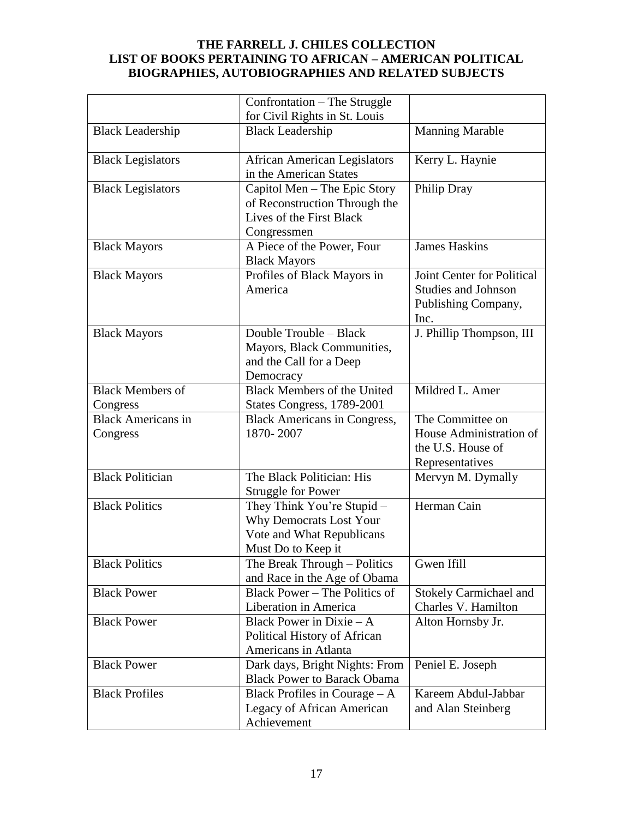|                                       | Confrontation - The Struggle                                                                                    |                                                                                         |
|---------------------------------------|-----------------------------------------------------------------------------------------------------------------|-----------------------------------------------------------------------------------------|
|                                       | for Civil Rights in St. Louis                                                                                   |                                                                                         |
| <b>Black Leadership</b>               | <b>Black Leadership</b>                                                                                         | <b>Manning Marable</b>                                                                  |
| <b>Black Legislators</b>              | <b>African American Legislators</b><br>in the American States                                                   | Kerry L. Haynie                                                                         |
| <b>Black Legislators</b>              | Capitol Men - The Epic Story<br>of Reconstruction Through the<br>Lives of the First Black<br>Congressmen        | Philip Dray                                                                             |
| <b>Black Mayors</b>                   | A Piece of the Power, Four<br><b>Black Mayors</b>                                                               | <b>James Haskins</b>                                                                    |
| <b>Black Mayors</b>                   | Profiles of Black Mayors in<br>America                                                                          | Joint Center for Political<br><b>Studies and Johnson</b><br>Publishing Company,<br>Inc. |
| <b>Black Mayors</b>                   | Double Trouble - Black<br>Mayors, Black Communities,<br>and the Call for a Deep<br>Democracy                    | J. Phillip Thompson, III                                                                |
| <b>Black Members of</b><br>Congress   | <b>Black Members of the United</b><br>States Congress, 1789-2001                                                | Mildred L. Amer                                                                         |
| <b>Black Americans in</b><br>Congress | <b>Black Americans in Congress,</b><br>1870-2007                                                                | The Committee on<br>House Administration of<br>the U.S. House of<br>Representatives     |
| <b>Black Politician</b>               | The Black Politician: His<br><b>Struggle for Power</b>                                                          | Mervyn M. Dymally                                                                       |
| <b>Black Politics</b>                 | They Think You're Stupid -<br><b>Why Democrats Lost Your</b><br>Vote and What Republicans<br>Must Do to Keep it | Herman Cain                                                                             |
| <b>Black Politics</b>                 | The Break Through – Politics<br>and Race in the Age of Obama                                                    | Gwen Ifill                                                                              |
| <b>Black Power</b>                    | Black Power – The Politics of<br>Liberation in America                                                          | <b>Stokely Carmichael and</b><br>Charles V. Hamilton                                    |
| <b>Black Power</b>                    | Black Power in Dixie $-A$<br>Political History of African<br>Americans in Atlanta                               | Alton Hornsby Jr.                                                                       |
| <b>Black Power</b>                    | Dark days, Bright Nights: From<br><b>Black Power to Barack Obama</b>                                            | Peniel E. Joseph                                                                        |
| <b>Black Profiles</b>                 | Black Profiles in Courage $-A$<br>Legacy of African American<br>Achievement                                     | Kareem Abdul-Jabbar<br>and Alan Steinberg                                               |